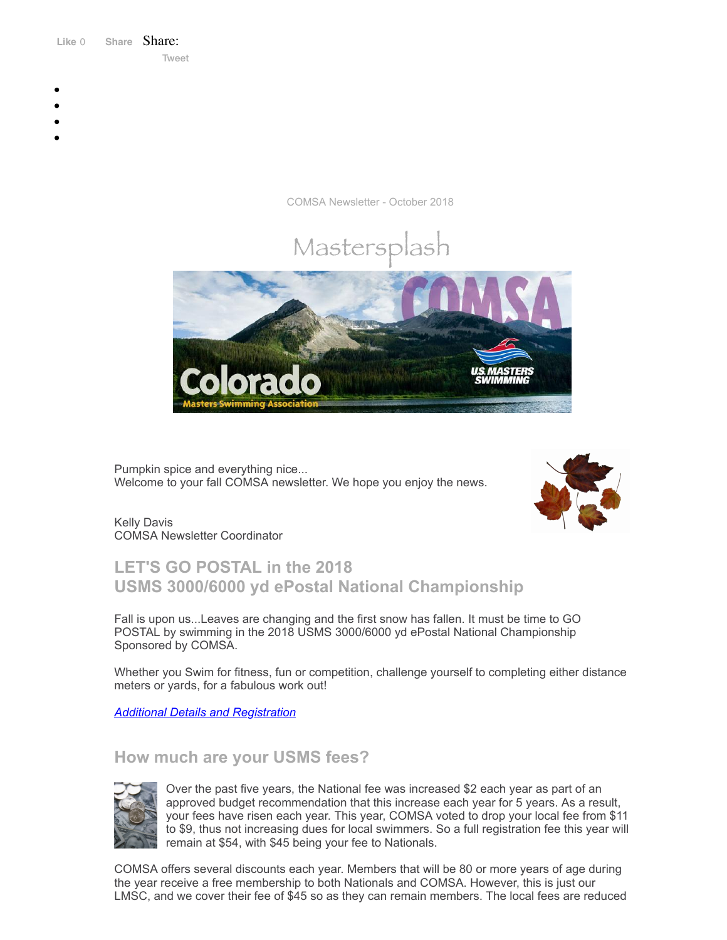Like 0 **[Share](https://www.facebook.com/sharer/sharer.php?u=https%3A%2F%2Fmyemail.constantcontact.com%2FCOMSA-Newsletter---October-2018.html%3Fsoid%3D1108936408185%26aid%3D4hqWZQbKknc&display=popup&ref=plugin&src=like&kid_directed_site=0&app_id=120295828008556)** Share: [Tweet](https://twitter.com/intent/tweet?original_referer=https%3A%2F%2Fmyemail.constantcontact.com%2FCOMSA-Newsletter---October-2018.html%3Fsoid%3D1108936408185%26aid%3D4hqWZQbKknc&ref_src=twsrc%5Etfw&text=COMSA%20Newsletter%20-%20October%202018&tw_p=tweetbutton&url=https%3A%2F%2Fmyemail.constantcontact.com%2FCOMSA-Newsletter---October-2018.html%3Fsoid%3D1108936408185%26aid%3D4hqWZQbKknc)

- 
- 
- 
- 
- 

COMSA Newsletter - October 2018



Pumpkin spice and everything nice... Welcome to your fall COMSA newsletter. We hope you enjoy the news.



Kelly Davis COMSA Newsletter Coordinator

## **LET'S GO POSTAL in the 2018 USMS 3000/6000 yd ePostal National Championship**

Fall is upon us...Leaves are changing and the first snow has fallen. It must be time to GO POSTAL by swimming in the 2018 USMS 3000/6000 yd ePostal National Championship Sponsored by COMSA.

Whether you Swim for fitness, fun or competition, challenge yourself to completing either distance meters or yards, for a fabulous work out!

*Additional Details and [Registration](http://comsa.org/articles/2018%20Postal%20Swim%20at%20CAC%20Inverness.pdf)*

## **How much are your USMS fees?**



Over the past five years, the National fee was increased \$2 each year as part of an approved budget recommendation that this increase each year for 5 years. As a result, your fees have risen each year. This year, COMSA voted to drop your local fee from \$11 to \$9, thus not increasing dues for local swimmers. So a full registration fee this year will remain at \$54, with \$45 being your fee to Nationals.

COMSA offers several discounts each year. Members that will be 80 or more years of age during the year receive a free membership to both Nationals and COMSA. However, this is just our LMSC, and we cover their fee of \$45 so as they can remain members. The local fees are reduced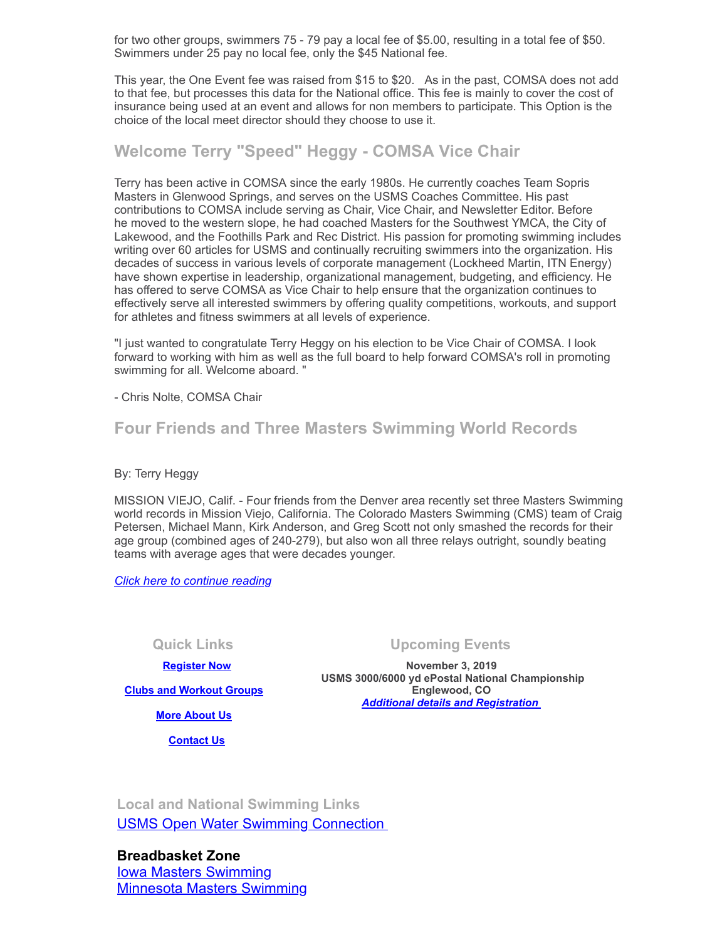for two other groups, swimmers 75 - 79 pay a local fee of \$5.00, resulting in a total fee of \$50. Swimmers under 25 pay no local fee, only the \$45 National fee.

This year, the One Event fee was raised from \$15 to \$20. As in the past, COMSA does not add to that fee, but processes this data for the National office. This fee is mainly to cover the cost of insurance being used at an event and allows for non members to participate. This Option is the choice of the local meet director should they choose to use it.

## **Welcome Terry "Speed" Heggy - COMSA Vice Chair**

Terry has been active in COMSA since the early 1980s. He currently coaches Team Sopris Masters in Glenwood Springs, and serves on the USMS Coaches Committee. His past contributions to COMSA include serving as Chair, Vice Chair, and Newsletter Editor. Before he moved to the western slope, he had coached Masters for the Southwest YMCA, the City of Lakewood, and the Foothills Park and Rec District. His passion for promoting swimming includes writing over 60 articles for USMS and continually recruiting swimmers into the organization. His decades of success in various levels of corporate management (Lockheed Martin, ITN Energy) have shown expertise in leadership, organizational management, budgeting, and efficiency. He has offered to serve COMSA as Vice Chair to help ensure that the organization continues to effectively serve all interested swimmers by offering quality competitions, workouts, and support for athletes and fitness swimmers at all levels of experience.

"I just wanted to congratulate Terry Heggy on his election to be Vice Chair of COMSA. I look forward to working with him as well as the full board to help forward COMSA's roll in promoting swimming for all. Welcome aboard. "

- Chris Nolte, COMSA Chair

### **Four Friends and Three Masters Swimming World Records**

By: Terry Heggy

MISSION VIEJO, Calif. - Four friends from the Denver area recently set three Masters Swimming world records in Mission Viejo, California. The Colorado Masters Swimming (CMS) team of Craig Petersen, Michael Mann, Kirk Anderson, and Greg Scott not only smashed the records for their age group (combined ages of 240-279), but also won all three relays outright, soundly beating teams with average ages that were decades younger.

*Click here to [continue](http://comsa.org/articles/4Friends3Records_2018.pdf) reading*

 **[Register Now](http://www.usms.org/content/join_or_renew)**

#### **Quick Links Upcoming Events**

**November 3, 2019 USMS 3000/6000 yd ePostal National Championship Englewood, CO**  *[Additional details and Registration](http://comsa.org/articles/2018%20Postal%20Swim%20at%20CAC%20Inverness.pdf)* 

**[Clubs and Workout Groups](http://comsa.org/clubs/index.html)**

**[More About Us](http://comsa.org/)**

 **[Contact Us](mailto:swimkdavis@gmail.com)**

**Local and National Swimming Links** [USMS Open Water Swimming Connection](http://usopenwaterswimming.org/) 

**Breadbasket Zone** [Iowa Masters Swimming](http://www.iowamasters.org/) [Minnesota Masters Swimming](http://www.minnesotamasters.com/)